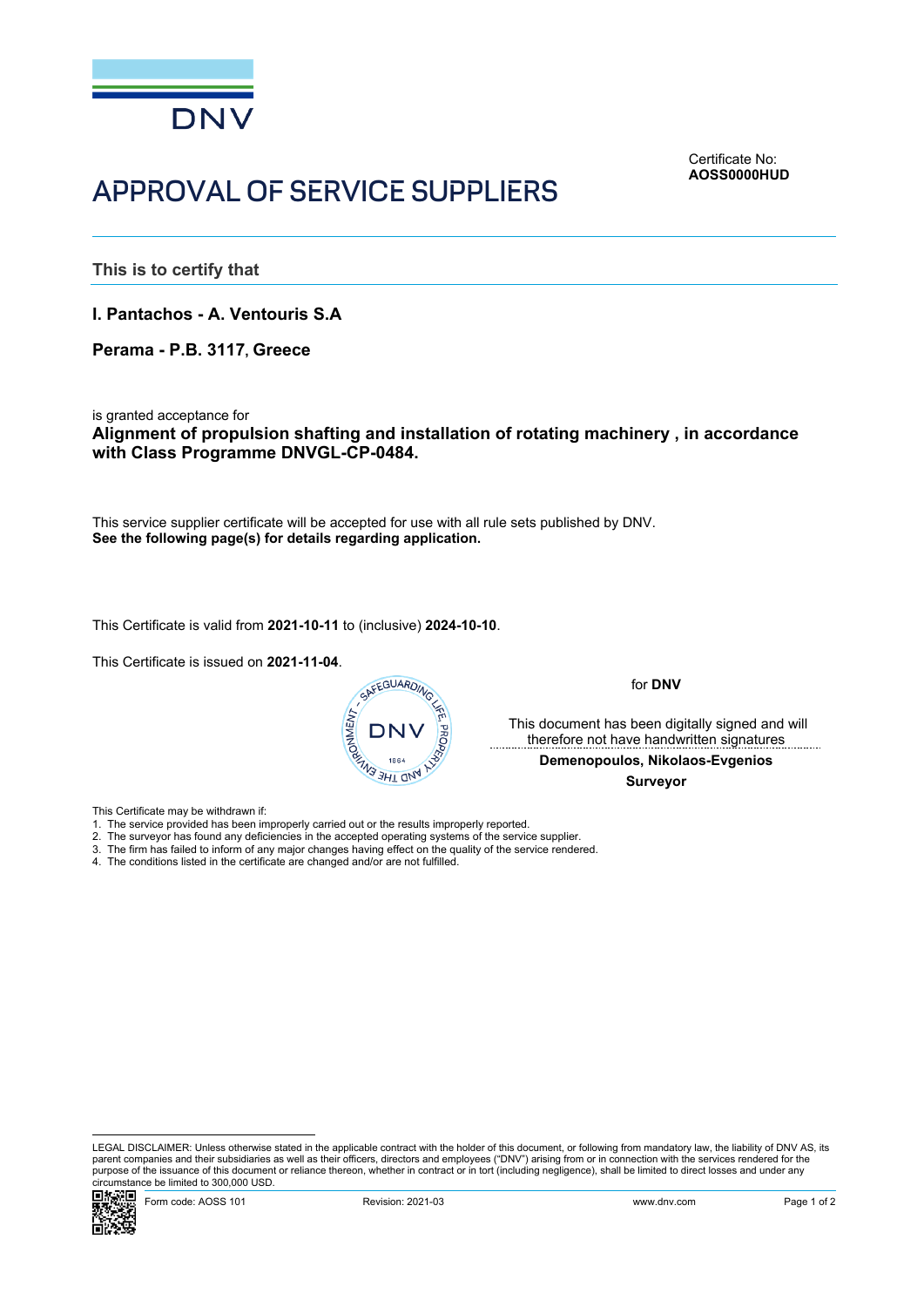

<span id="page-0-0"></span>Certificate No: **AOSS0000HUD**

## APPROVAL OF SERVICE SUPPLIERS

**This is to certify that**

**I. Pantachos - A. Ventouris S.A**

**Perama - P.B. 3117, Greece**

is granted acceptance for

**Alignment of propulsion shafting and installation of rotating machinery , in accordance with Class Programme DNVGL-CP-0484.**

This service supplier certificate will be accepted for use with all rule sets published by DNV. **See the following page(s) for details regarding application.**

This Certificate is valid from **2021-10-11** to (inclusive) **2024-10-10**.

This Certificate is issued on **2021-11-04**.



for **DNV**

 This document has been digitally signed and will therefore not have handwritten signatures

**Demenopoulos, Nikolaos-Evgenios**

 **Surveyor**

This Certificate may be withdrawn if:

- 1. The service provided has been improperly carried out or the results improperly reported.
- 2. The surveyor has found any deficiencies in the accepted operating systems of the service supplier.
- 3. The firm has failed to inform of any major changes having effect on the quality of the service rendered.
- 4. The conditions listed in the certificate are changed and/or are not fulfilled.

LEGAL DISCLAIMER: Unless otherwise stated in the applicable contract with the holder of this document, or following from mandatory law, the liability of DNV AS, its parent companies and their subsidiaries as well as their officers, directors and employees ("DNV") arising from or in connection with the services rendered for the purpose of the issuance of this document or reliance thereon, whether in contract or in tort (including negligence), shall be limited to direct losses and under any circumstance be limited to 300,000 USD.